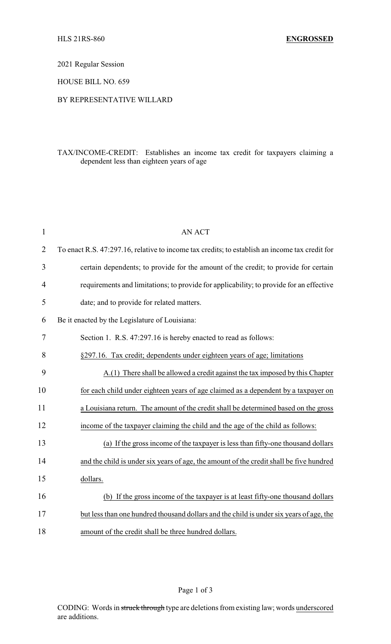2021 Regular Session

HOUSE BILL NO. 659

## BY REPRESENTATIVE WILLARD

## TAX/INCOME-CREDIT: Establishes an income tax credit for taxpayers claiming a dependent less than eighteen years of age

| $\mathbf{1}$   | <b>AN ACT</b>                                                                                  |
|----------------|------------------------------------------------------------------------------------------------|
| $\overline{2}$ | To enact R.S. 47:297.16, relative to income tax credits; to establish an income tax credit for |
| 3              | certain dependents; to provide for the amount of the credit; to provide for certain            |
| 4              | requirements and limitations; to provide for applicability; to provide for an effective        |
| 5              | date; and to provide for related matters.                                                      |
| 6              | Be it enacted by the Legislature of Louisiana:                                                 |
| 7              | Section 1. R.S. 47:297.16 is hereby enacted to read as follows:                                |
| 8              | §297.16. Tax credit; dependents under eighteen years of age; limitations                       |
| 9              | A.(1) There shall be allowed a credit against the tax imposed by this Chapter                  |
| 10             | for each child under eighteen years of age claimed as a dependent by a taxpayer on             |
| 11             | a Louisiana return. The amount of the credit shall be determined based on the gross            |
| 12             | income of the taxpayer claiming the child and the age of the child as follows:                 |
| 13             | (a) If the gross income of the taxpayer is less than fifty-one thousand dollars                |
| 14             | and the child is under six years of age, the amount of the credit shall be five hundred        |
| 15             | dollars.                                                                                       |
| 16             | (b) If the gross income of the taxpayer is at least fifty-one thousand dollars                 |
| 17             | but less than one hundred thousand dollars and the child is under six years of age, the        |
| 18             | amount of the credit shall be three hundred dollars.                                           |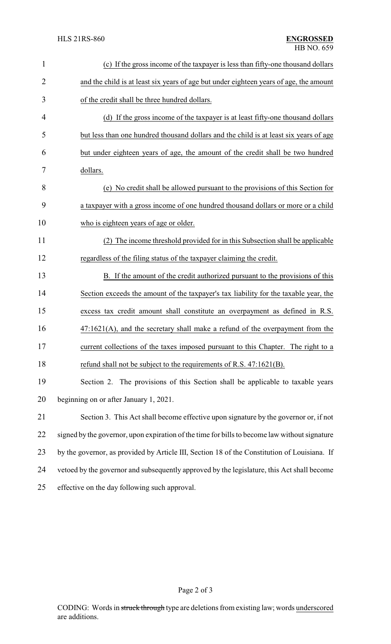| $\mathbf{1}$   | (c) If the gross income of the taxpayer is less than fifty-one thousand dollars               |  |  |
|----------------|-----------------------------------------------------------------------------------------------|--|--|
| $\overline{2}$ | and the child is at least six years of age but under eighteen years of age, the amount        |  |  |
| 3              | of the credit shall be three hundred dollars.                                                 |  |  |
| 4              | (d) If the gross income of the taxpayer is at least fifty-one thousand dollars                |  |  |
| 5              | but less than one hundred thousand dollars and the child is at least six years of age         |  |  |
| 6              | but under eighteen years of age, the amount of the credit shall be two hundred                |  |  |
| 7              | dollars.                                                                                      |  |  |
| 8              | (e) No credit shall be allowed pursuant to the provisions of this Section for                 |  |  |
| 9              | a taxpayer with a gross income of one hundred thousand dollars or more or a child             |  |  |
| 10             | who is eighteen years of age or older.                                                        |  |  |
| 11             | (2) The income threshold provided for in this Subsection shall be applicable                  |  |  |
| 12             | regardless of the filing status of the taxpayer claiming the credit.                          |  |  |
| 13             | B. If the amount of the credit authorized pursuant to the provisions of this                  |  |  |
| 14             | Section exceeds the amount of the taxpayer's tax liability for the taxable year, the          |  |  |
| 15             | excess tax credit amount shall constitute an overpayment as defined in R.S.                   |  |  |
| 16             | $47:1621(A)$ , and the secretary shall make a refund of the overpayment from the              |  |  |
| 17             | current collections of the taxes imposed pursuant to this Chapter. The right to a             |  |  |
| 18             | refund shall not be subject to the requirements of R.S. 47:1621(B).                           |  |  |
| 19             | Section 2. The provisions of this Section shall be applicable to taxable years                |  |  |
| 20             | beginning on or after January 1, 2021.                                                        |  |  |
| 21             | Section 3. This Act shall become effective upon signature by the governor or, if not          |  |  |
| 22             | signed by the governor, upon expiration of the time for bills to become law without signature |  |  |
| 23             | by the governor, as provided by Article III, Section 18 of the Constitution of Louisiana. If  |  |  |
| 24             | vetoed by the governor and subsequently approved by the legislature, this Act shall become    |  |  |
| 25             | effective on the day following such approval.                                                 |  |  |